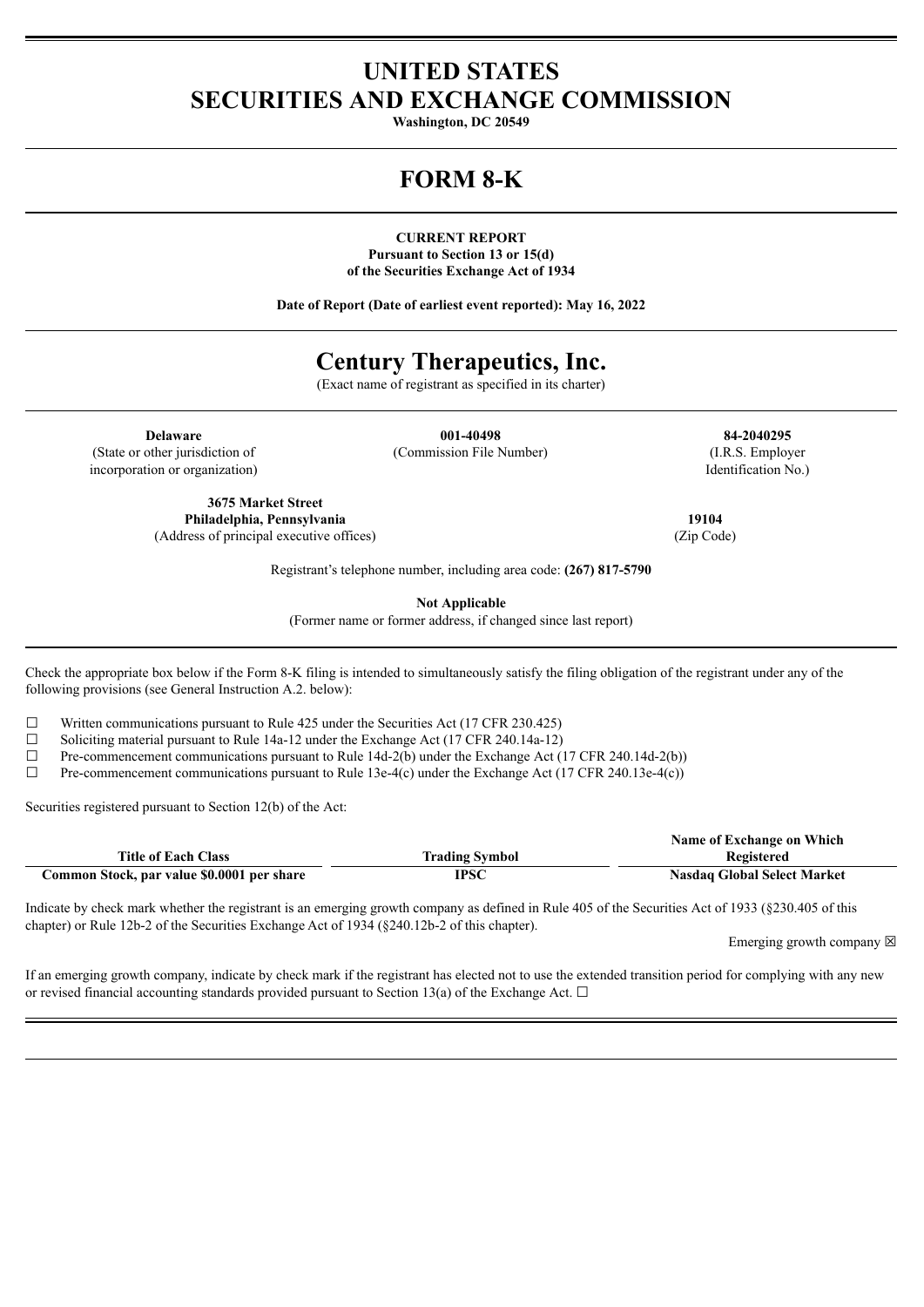# **UNITED STATES SECURITIES AND EXCHANGE COMMISSION**

**Washington, DC 20549**

# **FORM 8-K**

**CURRENT REPORT Pursuant to Section 13 or 15(d) of the Securities Exchange Act of 1934**

**Date of Report (Date of earliest event reported): May 16, 2022**

# **Century Therapeutics, Inc.**

(Exact name of registrant as specified in its charter)

(State or other jurisdiction of incorporation or organization)

**Delaware 001-40498 84-2040295** (Commission File Number) (I.R.S. Employer

Identification No.)

**3675 Market Street Philadelphia, Pennsylvania 19104** (Address of principal executive offices) (Zip Code)

Registrant's telephone number, including area code: **(267) 817-5790**

**Not Applicable**

(Former name or former address, if changed since last report)

Check the appropriate box below if the Form 8-K filing is intended to simultaneously satisfy the filing obligation of the registrant under any of the following provisions (see General Instruction A.2. below):

 $\Box$  Written communications pursuant to Rule 425 under the Securities Act (17 CFR 230.425)

 $\Box$  Soliciting material pursuant to Rule 14a-12 under the Exchange Act (17 CFR 240.14a-12)

□ Pre-commencement communications pursuant to Rule 14d-2(b) under the Exchange Act (17 CFR 240.14d-2(b))<br>Pre-commencement communications pursuant to Rule 13e-4(c) under the Exchange Act (17 CFR 240.13e-4(c))

Pre-commencement communications pursuant to Rule 13e-4(c) under the Exchange Act (17 CFR 240.13e-4(c))

Securities registered pursuant to Section 12(b) of the Act:

|                                            |                       | Name of Exchange on Which          |
|--------------------------------------------|-----------------------|------------------------------------|
| <b>Title of Each Class</b>                 | <b>Trading Symbol</b> | Registered                         |
| Common Stock, par value \$0.0001 per share | <b>IPSC</b>           | <b>Nasdaq Global Select Market</b> |

Indicate by check mark whether the registrant is an emerging growth company as defined in Rule 405 of the Securities Act of 1933 (§230.405 of this chapter) or Rule 12b-2 of the Securities Exchange Act of 1934 (§240.12b-2 of this chapter).

Emerging growth company  $\boxtimes$ 

If an emerging growth company, indicate by check mark if the registrant has elected not to use the extended transition period for complying with any new or revised financial accounting standards provided pursuant to Section 13(a) of the Exchange Act.  $\Box$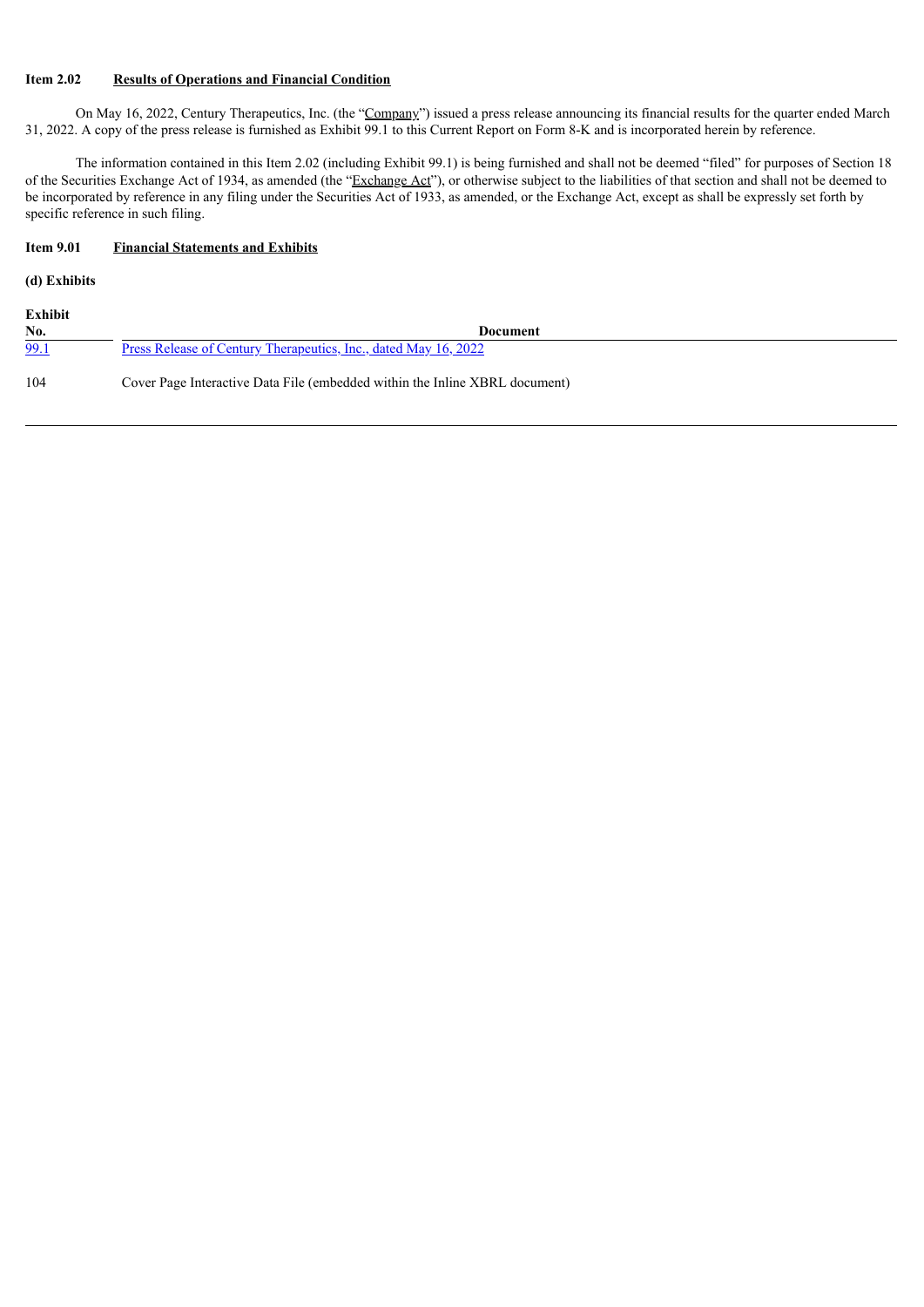### **Item 2.02 Results of Operations and Financial Condition**

On May 16, 2022, Century Therapeutics, Inc. (the "Company") issued a press release announcing its financial results for the quarter ended March 31, 2022. A copy of the press release is furnished as Exhibit 99.1 to this Current Report on Form 8-K and is incorporated herein by reference.

The information contained in this Item 2.02 (including Exhibit 99.1) is being furnished and shall not be deemed "filed" for purposes of Section 18 of the Securities Exchange Act of 1934, as amended (the "Exchange Act"), or otherwise subject to the liabilities of that section and shall not be deemed to be incorporated by reference in any filing under the Securities Act of 1933, as amended, or the Exchange Act, except as shall be expressly set forth by specific reference in such filing.

## **Item 9.01 Financial Statements and Exhibits**

## **(d) Exhibits**

| Exhibit |                                                                             |
|---------|-----------------------------------------------------------------------------|
| No.     | Document                                                                    |
| 99.1    | <u>Press Release of Century Therapeutics, Inc., dated May 16, 2022</u>      |
| 104     | Cover Page Interactive Data File (embedded within the Inline XBRL document) |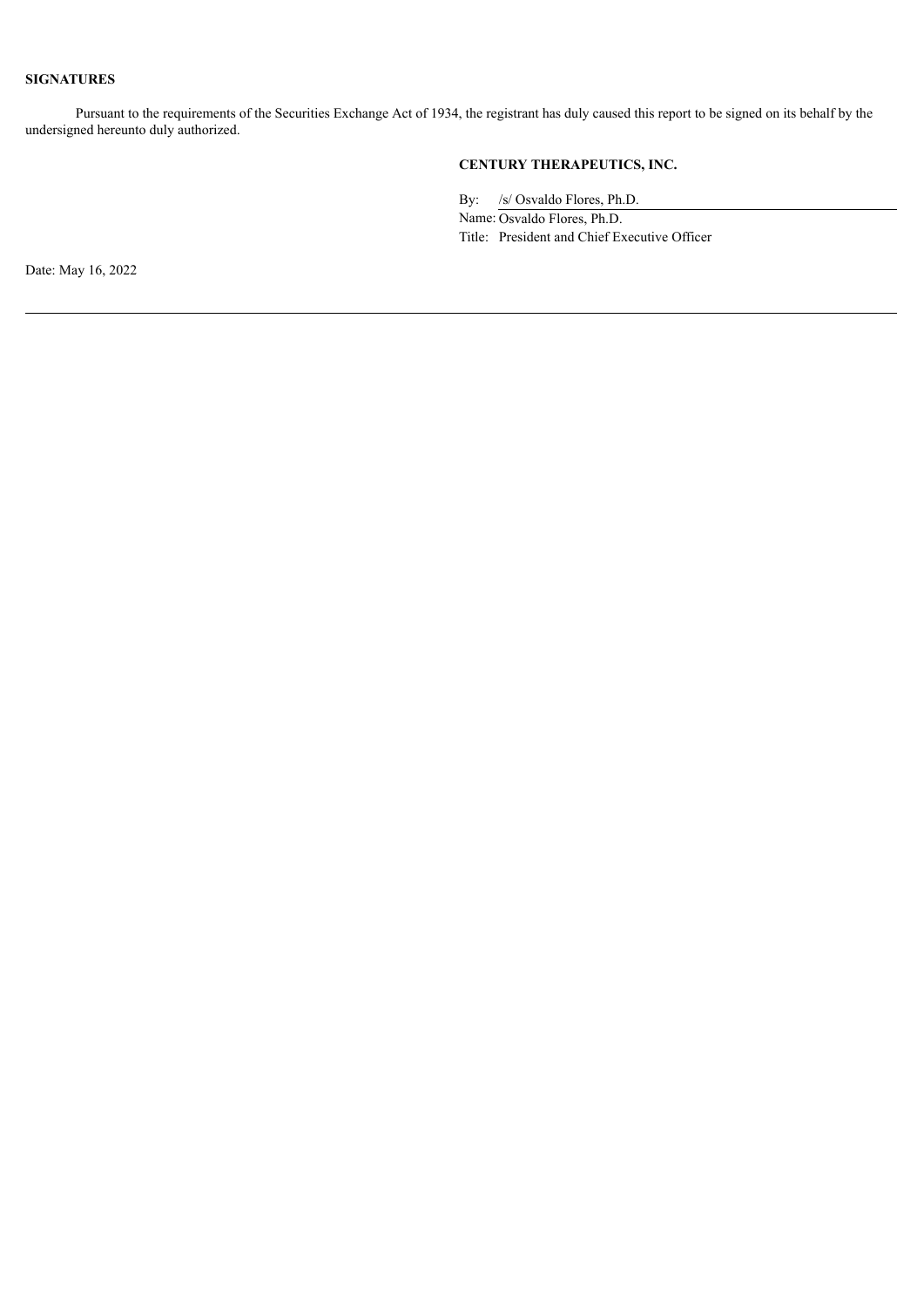### **SIGNATURES**

Pursuant to the requirements of the Securities Exchange Act of 1934, the registrant has duly caused this report to be signed on its behalf by the undersigned hereunto duly authorized.

## **CENTURY THERAPEUTICS, INC.**

By: /s/ Osvaldo Flores, Ph.D.

Name: Osvaldo Flores, Ph.D. Title: President and Chief Executive Officer

Date: May 16, 2022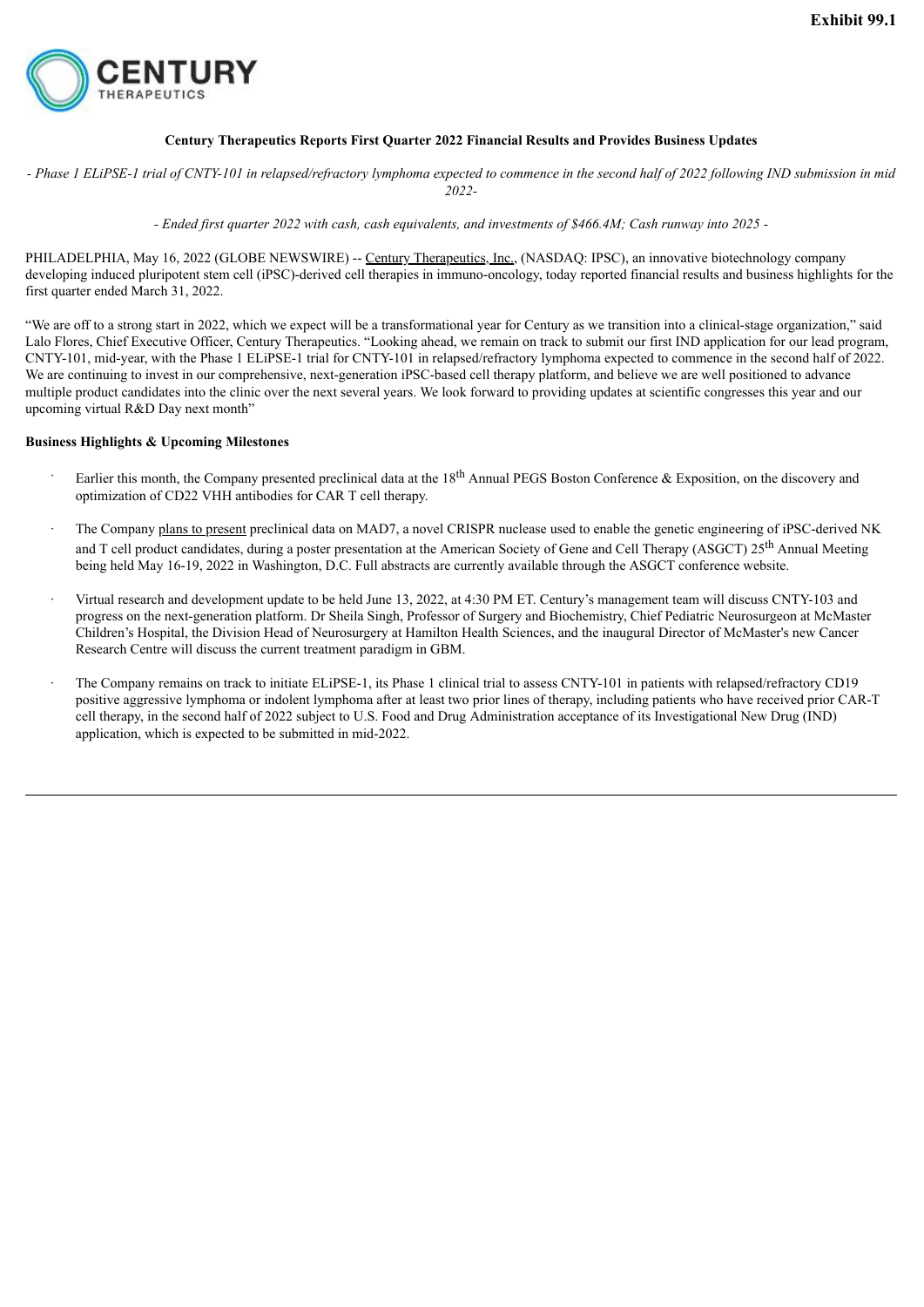<span id="page-3-0"></span>

### **Century Therapeutics Reports First Quarter 2022 Financial Results and Provides Business Updates**

- Phase 1 ELiPSE-1 trial of CNTY-101 in relapsed/refractory lymphoma expected to commence in the second half of 2022 following IND submission in mid *2022-*

- Ended first quarter 2022 with cash, cash equivalents, and investments of \$466.4M; Cash runway into 2025 -

PHILADELPHIA, May 16, 2022 (GLOBE NEWSWIRE) -- Century Therapeutics, Inc., (NASDAO: IPSC), an innovative biotechnology company developing induced pluripotent stem cell (iPSC)-derived cell therapies in immuno-oncology, today reported financial results and business highlights for the first quarter ended March 31, 2022.

"We are off to a strong start in 2022, which we expect will be a transformational year for Century as we transition into a clinical-stage organization," said Lalo Flores, Chief Executive Officer, Century Therapeutics. "Looking ahead, we remain on track to submit our first IND application for our lead program, CNTY-101, mid-year, with the Phase 1 ELiPSE-1 trial for CNTY-101 in relapsed/refractory lymphoma expected to commence in the second half of 2022. We are continuing to invest in our comprehensive, next-generation iPSC-based cell therapy platform, and believe we are well positioned to advance multiple product candidates into the clinic over the next several years. We look forward to providing updates at scientific congresses this year and our upcoming virtual R&D Day next month"

#### **Business Highlights & Upcoming Milestones**

- Earlier this month, the Company presented preclinical data at the  $18<sup>th</sup>$  Annual PEGS Boston Conference & Exposition, on the discovery and optimization of CD22 VHH antibodies for CAR T cell therapy.
- The Company plans to present preclinical data on MAD7, a novel CRISPR nuclease used to enable the genetic engineering of iPSC-derived NK and T cell product candidates, during a poster presentation at the American Society of Gene and Cell Therapy (ASGCT) 25<sup>th</sup> Annual Meeting being held May 16-19, 2022 in Washington, D.C. Full abstracts are currently available through the ASGCT conference website.
- · Virtual research and development update to be held June 13, 2022, at 4:30 PM ET. Century's management team will discuss CNTY-103 and progress on the next-generation platform. Dr Sheila Singh, Professor of Surgery and Biochemistry, Chief Pediatric Neurosurgeon at McMaster Children's Hospital, the Division Head of Neurosurgery at Hamilton Health Sciences, and the inaugural Director of McMaster's new Cancer Research Centre will discuss the current treatment paradigm in GBM.
- · The Company remains on track to initiate ELiPSE-1, its Phase 1 clinical trial to assess CNTY-101 in patients with relapsed/refractory CD19 positive aggressive lymphoma or indolent lymphoma after at least two prior lines of therapy, including patients who have received prior CAR-T cell therapy, in the second half of 2022 subject to U.S. Food and Drug Administration acceptance of its Investigational New Drug (IND) application, which is expected to be submitted in mid-2022.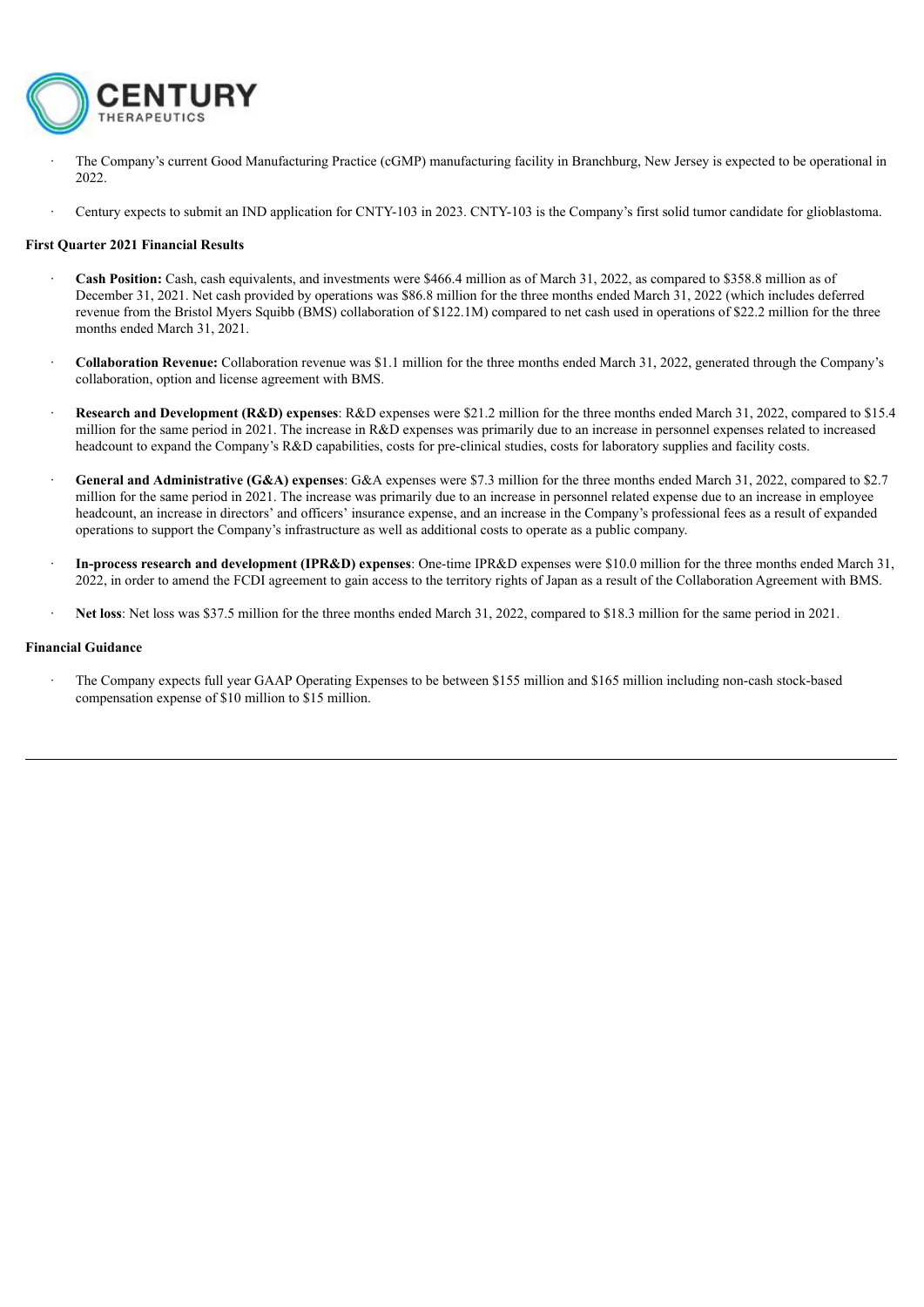

- · The Company's current Good Manufacturing Practice (cGMP) manufacturing facility in Branchburg, New Jersey is expected to be operational in 2022.
- · Century expects to submit an IND application for CNTY-103 in 2023. CNTY-103 is the Company's first solid tumor candidate for glioblastoma.

#### **First Quarter 2021 Financial Results**

- · **Cash Position:** Cash, cash equivalents, and investments were \$466.4 million as of March 31, 2022, as compared to \$358.8 million as of December 31, 2021. Net cash provided by operations was \$86.8 million for the three months ended March 31, 2022 (which includes deferred revenue from the Bristol Myers Squibb (BMS) collaboration of \$122.1M) compared to net cash used in operations of \$22.2 million for the three months ended March 31, 2021.
- · **Collaboration Revenue:** Collaboration revenue was \$1.1 million for the three months ended March 31, 2022, generated through the Company's collaboration, option and license agreement with BMS.
- · **Research and Development (R&D) expenses**: R&D expenses were \$21.2 million for the three months ended March 31, 2022, compared to \$15.4 million for the same period in 2021. The increase in R&D expenses was primarily due to an increase in personnel expenses related to increased headcount to expand the Company's R&D capabilities, costs for pre-clinical studies, costs for laboratory supplies and facility costs.
- · **General and Administrative (G&A) expenses**: G&A expenses were \$7.3 million for the three months ended March 31, 2022, compared to \$2.7 million for the same period in 2021. The increase was primarily due to an increase in personnel related expense due to an increase in employee headcount, an increase in directors' and officers' insurance expense, and an increase in the Company's professional fees as a result of expanded operations to support the Company's infrastructure as well as additional costs to operate as a public company.
- · **In-process research and development (IPR&D) expenses**: One-time IPR&D expenses were \$10.0 million for the three months ended March 31, 2022, in order to amend the FCDI agreement to gain access to the territory rights of Japan as a result of the Collaboration Agreement with BMS.
- · **Net loss**: Net loss was \$37.5 million for the three months ended March 31, 2022, compared to \$18.3 million for the same period in 2021.

#### **Financial Guidance**

· The Company expects full year GAAP Operating Expenses to be between \$155 million and \$165 million including non-cash stock-based compensation expense of \$10 million to \$15 million.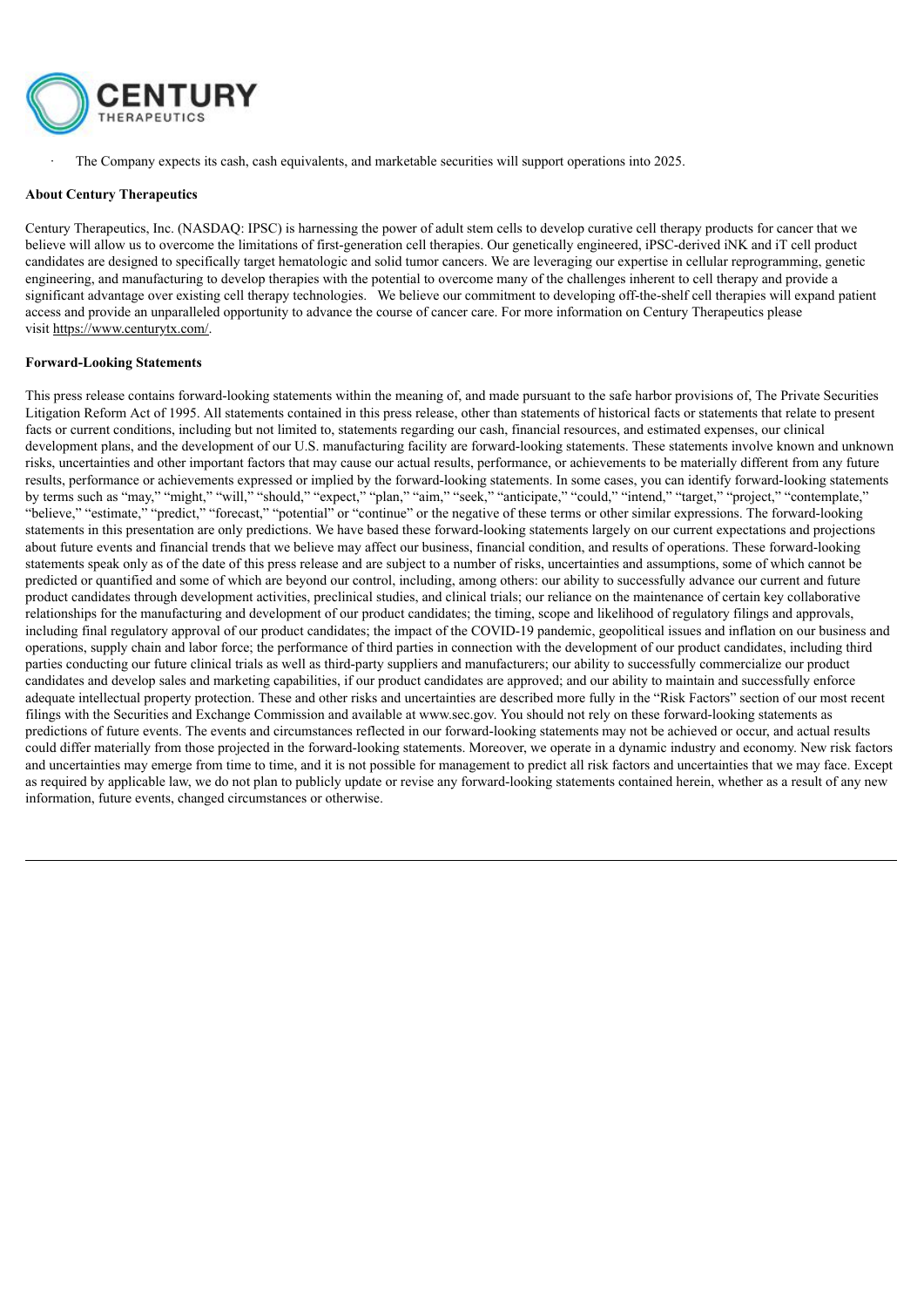

· The Company expects its cash, cash equivalents, and marketable securities will support operations into 2025.

#### **About Century Therapeutics**

Century Therapeutics, Inc. (NASDAQ: IPSC) is harnessing the power of adult stem cells to develop curative cell therapy products for cancer that we believe will allow us to overcome the limitations of first-generation cell therapies. Our genetically engineered, iPSC-derived iNK and iT cell product candidates are designed to specifically target hematologic and solid tumor cancers. We are leveraging our expertise in cellular reprogramming, genetic engineering, and manufacturing to develop therapies with the potential to overcome many of the challenges inherent to cell therapy and provide a significant advantage over existing cell therapy technologies. We believe our commitment to developing off-the-shelf cell therapies will expand patient access and provide an unparalleled opportunity to advance the course of cancer care. For more information on Century Therapeutics please visit https://www.centurytx.com/.

#### **Forward-Looking Statements**

This press release contains forward-looking statements within the meaning of, and made pursuant to the safe harbor provisions of, The Private Securities Litigation Reform Act of 1995. All statements contained in this press release, other than statements of historical facts or statements that relate to present facts or current conditions, including but not limited to, statements regarding our cash, financial resources, and estimated expenses, our clinical development plans, and the development of our U.S. manufacturing facility are forward-looking statements. These statements involve known and unknown risks, uncertainties and other important factors that may cause our actual results, performance, or achievements to be materially different from any future results, performance or achievements expressed or implied by the forward-looking statements. In some cases, you can identify forward-looking statements by terms such as "may," "might," "will," "should," "expect," "plan," "aim," "seek," "anticipate," "could," "intend," "target," "project," "contemplate," "believe," "estimate," "predict," "forecast," "potential" or "continue" or the negative of these terms or other similar expressions. The forward-looking statements in this presentation are only predictions. We have based these forward-looking statements largely on our current expectations and projections about future events and financial trends that we believe may affect our business, financial condition, and results of operations. These forward-looking statements speak only as of the date of this press release and are subject to a number of risks, uncertainties and assumptions, some of which cannot be predicted or quantified and some of which are beyond our control, including, among others: our ability to successfully advance our current and future product candidates through development activities, preclinical studies, and clinical trials; our reliance on the maintenance of certain key collaborative relationships for the manufacturing and development of our product candidates; the timing, scope and likelihood of regulatory filings and approvals, including final regulatory approval of our product candidates; the impact of the COVID-19 pandemic, geopolitical issues and inflation on our business and operations, supply chain and labor force; the performance of third parties in connection with the development of our product candidates, including third parties conducting our future clinical trials as well as third-party suppliers and manufacturers; our ability to successfully commercialize our product candidates and develop sales and marketing capabilities, if our product candidates are approved; and our ability to maintain and successfully enforce adequate intellectual property protection. These and other risks and uncertainties are described more fully in the "Risk Factors" section of our most recent filings with the Securities and Exchange Commission and available at www.sec.gov. You should not rely on these forward-looking statements as predictions of future events. The events and circumstances reflected in our forward-looking statements may not be achieved or occur, and actual results could differ materially from those projected in the forward-looking statements. Moreover, we operate in a dynamic industry and economy. New risk factors and uncertainties may emerge from time to time, and it is not possible for management to predict all risk factors and uncertainties that we may face. Except as required by applicable law, we do not plan to publicly update or revise any forward-looking statements contained herein, whether as a result of any new information, future events, changed circumstances or otherwise.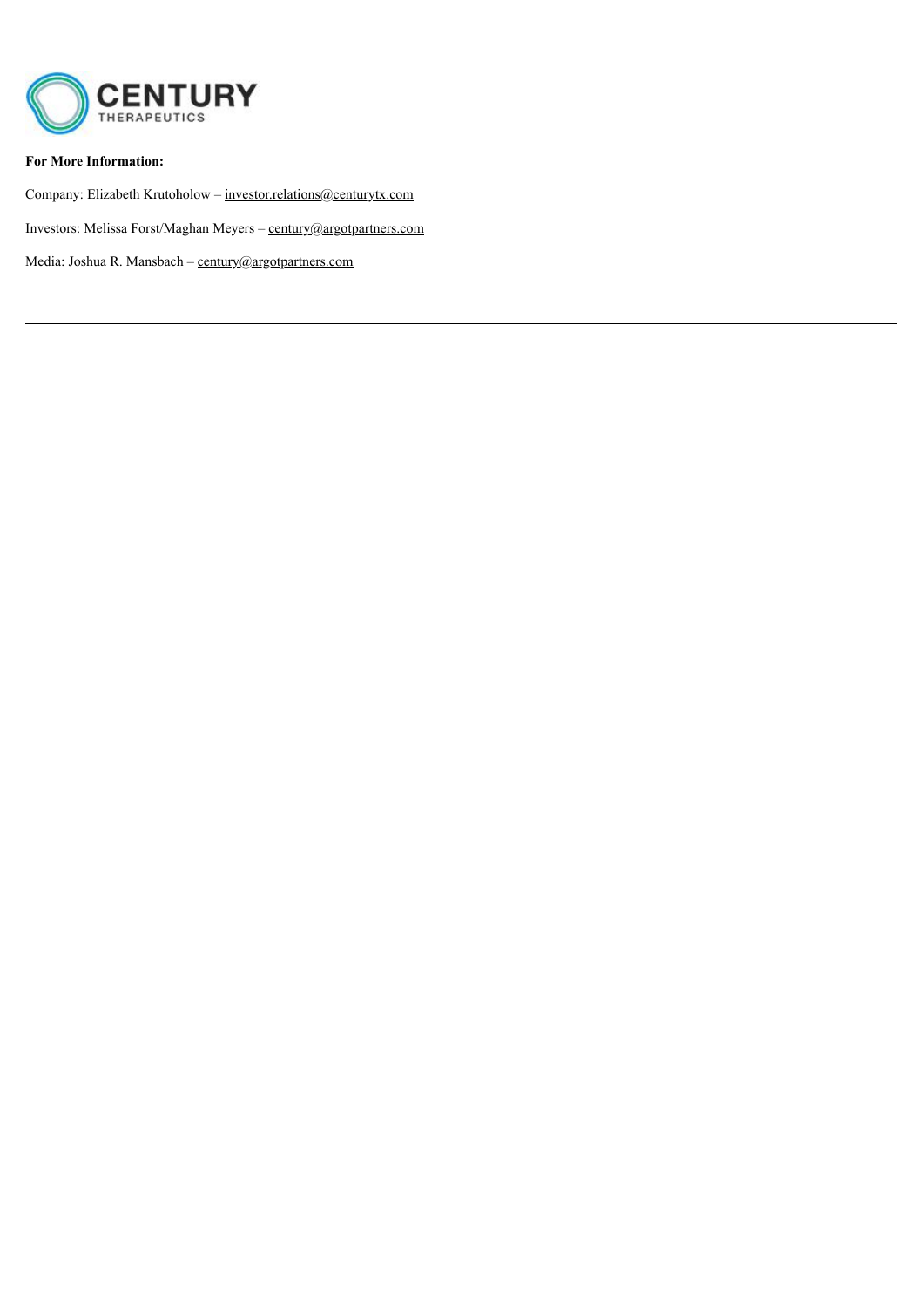

### **For More Information:**

Company: Elizabeth Krutoholow – investor.relations@centurytx.com

Investors: Melissa Forst/Maghan Meyers – century@argotpartners.com

Media: Joshua R. Mansbach – century@argotpartners.com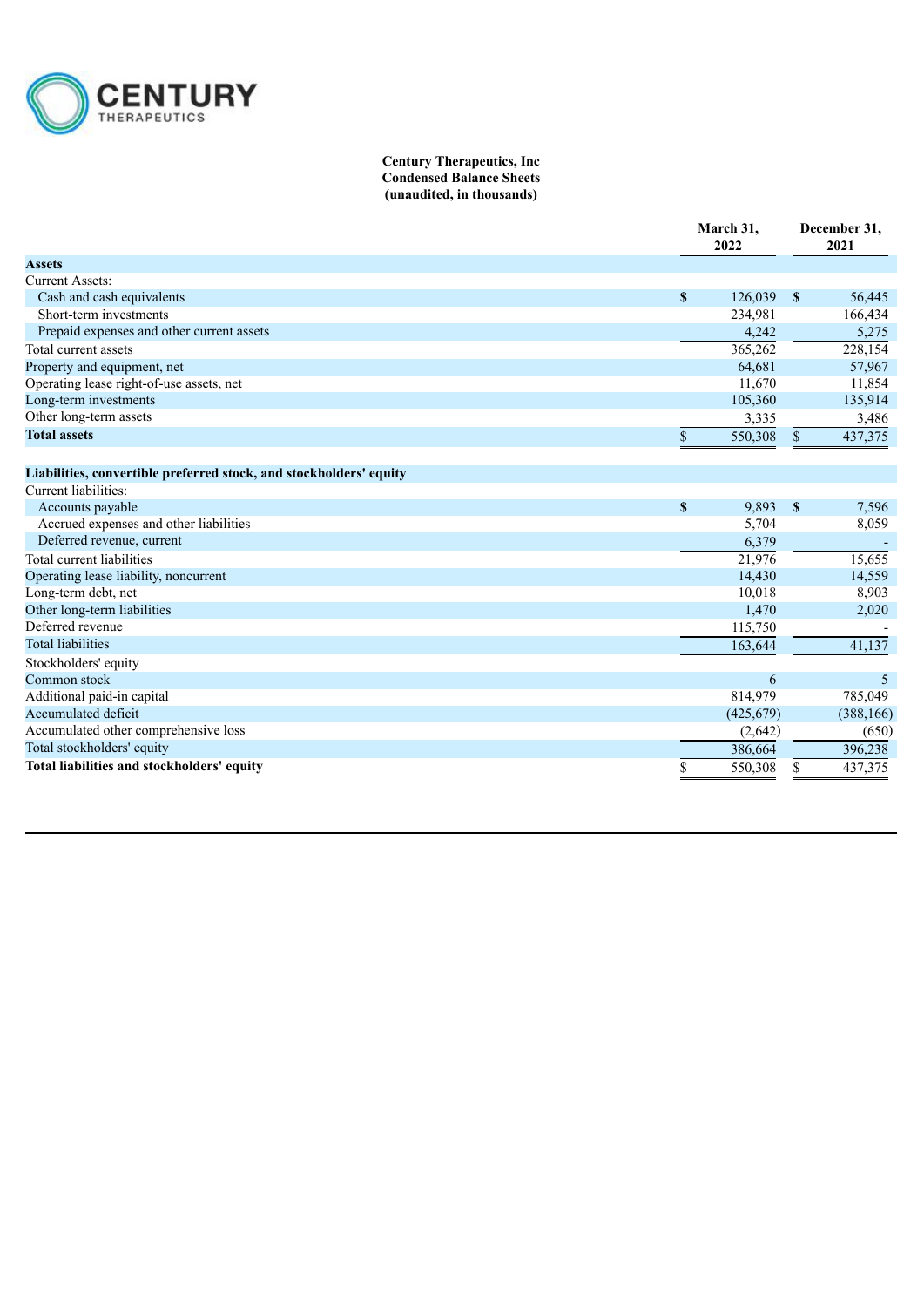

#### **Century Therapeutics, Inc Condensed Balance Sheets (unaudited, in thousands)**

|                                                                    |             | March 31,<br>2022 |              | December 31,<br>2021 |  |
|--------------------------------------------------------------------|-------------|-------------------|--------------|----------------------|--|
| <b>Assets</b>                                                      |             |                   |              |                      |  |
| <b>Current Assets:</b>                                             |             |                   |              |                      |  |
| Cash and cash equivalents                                          | $\mathbf S$ | 126,039           | -S           | 56,445               |  |
| Short-term investments                                             |             | 234,981           |              | 166,434              |  |
| Prepaid expenses and other current assets                          |             | 4,242             |              | 5,275                |  |
| Total current assets                                               |             | 365,262           |              | 228,154              |  |
| Property and equipment, net                                        |             | 64,681            |              | 57,967               |  |
| Operating lease right-of-use assets, net                           |             | 11,670            |              | 11,854               |  |
| Long-term investments                                              |             | 105,360           |              | 135,914              |  |
| Other long-term assets                                             |             | 3,335             |              | 3,486                |  |
| <b>Total assets</b>                                                | \$          | 550,308           | $\mathbb{S}$ | 437,375              |  |
| Liabilities, convertible preferred stock, and stockholders' equity |             |                   |              |                      |  |
| Current liabilities:                                               |             |                   |              |                      |  |
| Accounts payable                                                   | $\mathbf S$ | 9,893             | $\mathbf{s}$ | 7,596                |  |
| Accrued expenses and other liabilities                             |             | 5,704             |              | 8,059                |  |
| Deferred revenue, current                                          |             | 6,379             |              |                      |  |
| Total current liabilities                                          |             | 21,976            |              | 15,655               |  |
| Operating lease liability, noncurrent                              |             | 14,430            |              | 14,559               |  |
| Long-term debt, net                                                |             | 10,018            |              | 8,903                |  |
| Other long-term liabilities                                        |             | 1,470             |              | 2,020                |  |
| Deferred revenue                                                   |             | 115,750           |              |                      |  |
| <b>Total liabilities</b>                                           |             | 163.644           |              | 41,137               |  |
| Stockholders' equity                                               |             |                   |              |                      |  |
| Common stock                                                       |             | 6                 |              | 5                    |  |
| Additional paid-in capital                                         |             | 814,979           |              | 785,049              |  |
| Accumulated deficit                                                |             | (425, 679)        |              | (388, 166)           |  |
| Accumulated other comprehensive loss                               |             | (2,642)           |              | (650)                |  |
| Total stockholders' equity                                         |             | 386,664           |              | 396,238              |  |
| Total liabilities and stockholders' equity                         | \$          | 550,308           | \$           | 437,375              |  |